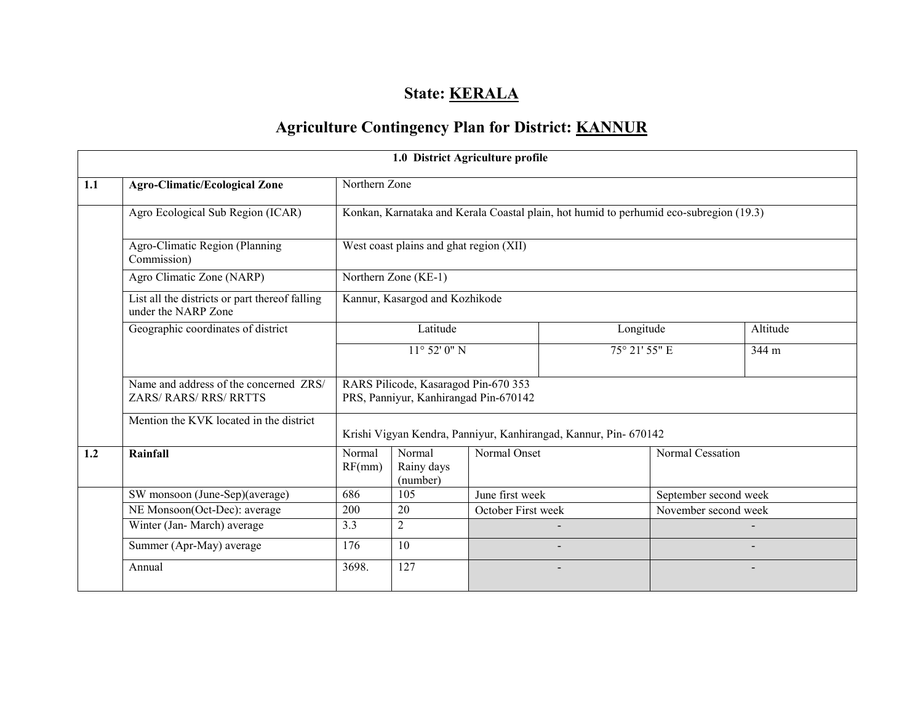## State: **KERALA**

# Agriculture Contingency Plan for District: KANNUR

|     |                                                                       |                                                                               | 1.0 District Agriculture profile |                    |                                                                                        |                       |          |  |  |
|-----|-----------------------------------------------------------------------|-------------------------------------------------------------------------------|----------------------------------|--------------------|----------------------------------------------------------------------------------------|-----------------------|----------|--|--|
| 1.1 | <b>Agro-Climatic/Ecological Zone</b>                                  | Northern Zone                                                                 |                                  |                    |                                                                                        |                       |          |  |  |
|     | Agro Ecological Sub Region (ICAR)                                     |                                                                               |                                  |                    | Konkan, Karnataka and Kerala Coastal plain, hot humid to perhumid eco-subregion (19.3) |                       |          |  |  |
|     | Agro-Climatic Region (Planning<br>Commission)                         | West coast plains and ghat region (XII)                                       |                                  |                    |                                                                                        |                       |          |  |  |
|     | Agro Climatic Zone (NARP)                                             |                                                                               | Northern Zone (KE-1)             |                    |                                                                                        |                       |          |  |  |
|     | List all the districts or part thereof falling<br>under the NARP Zone | Kannur, Kasargod and Kozhikode                                                |                                  |                    |                                                                                        |                       |          |  |  |
|     | Geographic coordinates of district                                    |                                                                               | Latitude                         |                    | Longitude                                                                              |                       | Altitude |  |  |
|     |                                                                       | $11^{\circ}$ 52' 0" N                                                         |                                  |                    | 75° 21' 55" E                                                                          |                       | 344 m    |  |  |
|     | Name and address of the concerned ZRS/<br>ZARS/RARS/RRS/RRTTS         | RARS Pilicode, Kasaragod Pin-670 353<br>PRS, Panniyur, Kanhirangad Pin-670142 |                                  |                    |                                                                                        |                       |          |  |  |
|     | Mention the KVK located in the district                               |                                                                               |                                  |                    | Krishi Vigyan Kendra, Panniyur, Kanhirangad, Kannur, Pin- 670142                       |                       |          |  |  |
| 1.2 | Rainfall                                                              | Normal<br>RF(mm)                                                              | Normal<br>Rainy days<br>(number) | Normal Onset       |                                                                                        | Normal Cessation      |          |  |  |
|     | SW monsoon (June-Sep)(average)                                        | 686                                                                           | 105                              | June first week    |                                                                                        | September second week |          |  |  |
|     | NE Monsoon(Oct-Dec): average                                          | 200                                                                           | 20                               | October First week |                                                                                        | November second week  |          |  |  |
|     | Winter (Jan-March) average                                            | 3.3                                                                           | $\overline{2}$                   |                    |                                                                                        |                       |          |  |  |
|     | Summer (Apr-May) average                                              | 176                                                                           | 10                               |                    |                                                                                        |                       |          |  |  |
|     | Annual                                                                | 3698.                                                                         | 127                              |                    |                                                                                        |                       |          |  |  |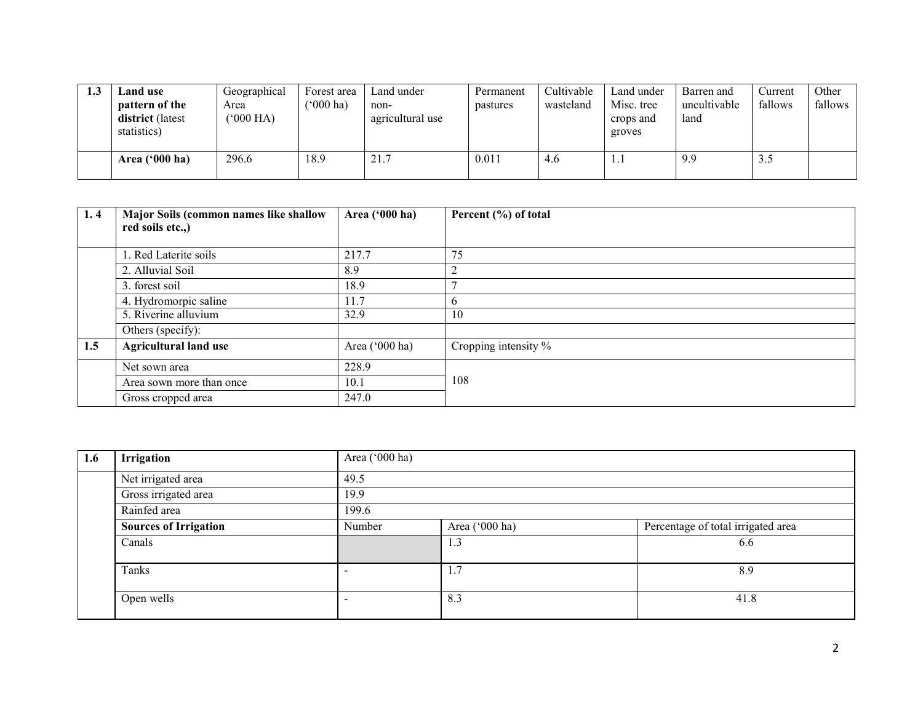| . | Land use<br>pattern of the<br>district (latest<br>statistics) | Geographical<br>Area<br>$^{\prime}000$ HA) | Forest area<br>$(000 \text{ ha})$ | Land under<br>non-<br>agricultural use | Permanent<br>pastures | Cultivable<br>wasteland | Land under<br>Misc. tree<br>crops and<br>groves | Barren and<br>uncultivable<br>land | Current<br>fallows | Other<br>fallows |
|---|---------------------------------------------------------------|--------------------------------------------|-----------------------------------|----------------------------------------|-----------------------|-------------------------|-------------------------------------------------|------------------------------------|--------------------|------------------|
|   | Area $(900 \text{ ha})$                                       | 296.6                                      | 18.9                              | 21.7                                   | 0.011                 | 4.6                     | .                                               | 9.9                                | 3.J                |                  |

| 1.4 | Major Soils (common names like shallow<br>red soils etc.,) | Area ('000 ha) | Percent (%) of total |
|-----|------------------------------------------------------------|----------------|----------------------|
|     | . Red Laterite soils                                       | 217.7          | 75                   |
|     | 2. Alluvial Soil                                           | 8.9            | $\overline{2}$       |
|     | 3. forest soil                                             | 18.9           | 7                    |
|     | 4. Hydromorpic saline                                      | 11.7           | $\mathbf b$          |
|     | 5. Riverine alluvium                                       | 32.9           | 10                   |
|     | Others (specify):                                          |                |                      |
| 1.5 | <b>Agricultural land use</b>                               | Area ('000 ha) | Cropping intensity % |
|     | Net sown area                                              | 228.9          |                      |
|     | Area sown more than once                                   | 10.1           | 108                  |
|     | Gross cropped area                                         | 247.0          |                      |

| 1.6 | Irrigation                   | Area ('000 ha) |                |                                    |  |  |  |  |  |
|-----|------------------------------|----------------|----------------|------------------------------------|--|--|--|--|--|
|     | Net irrigated area           | 49.5           |                |                                    |  |  |  |  |  |
|     | Gross irrigated area         | 19.9           |                |                                    |  |  |  |  |  |
|     | Rainfed area                 | 199.6          |                |                                    |  |  |  |  |  |
|     | <b>Sources of Irrigation</b> | Number         | Area ('000 ha) | Percentage of total irrigated area |  |  |  |  |  |
|     | Canals                       |                | 1.3            | 6.6                                |  |  |  |  |  |
|     | Tanks                        |                | 1.7            | 8.9                                |  |  |  |  |  |
|     | Open wells                   |                | 8.3            | 41.8                               |  |  |  |  |  |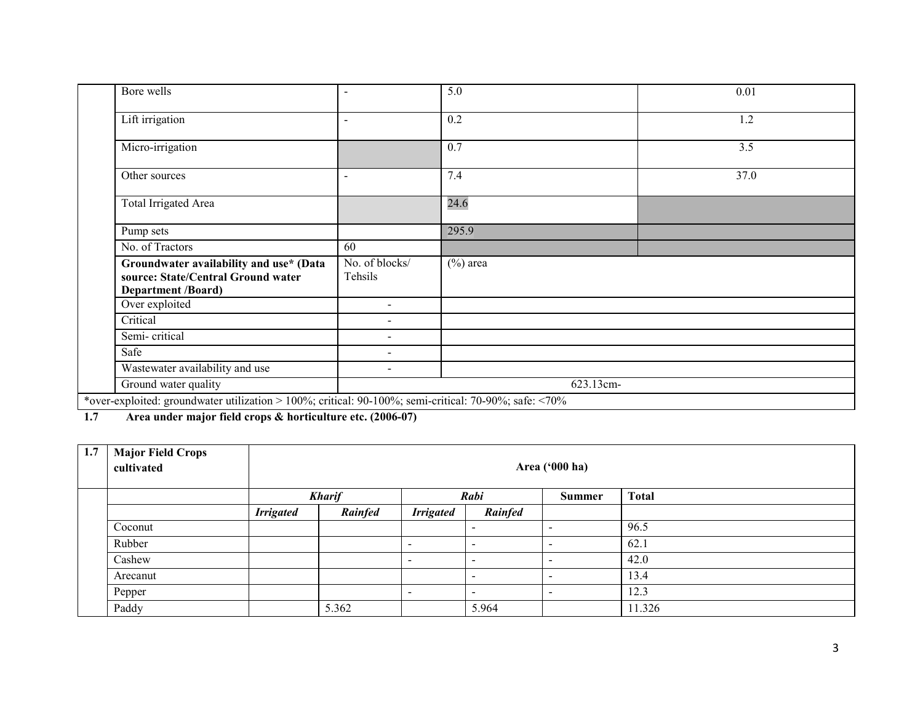| Bore wells                                                                                                 | $\blacksquare$            | 5.0         | 0.01 |  |  |  |  |  |
|------------------------------------------------------------------------------------------------------------|---------------------------|-------------|------|--|--|--|--|--|
| Lift irrigation                                                                                            | $\sim$                    | 0.2         | 1.2  |  |  |  |  |  |
| Micro-irrigation                                                                                           |                           | 0.7         | 3.5  |  |  |  |  |  |
| Other sources                                                                                              | $\sim$                    | 7.4         | 37.0 |  |  |  |  |  |
| Total Irrigated Area                                                                                       |                           | 24.6        |      |  |  |  |  |  |
| Pump sets                                                                                                  |                           | 295.9       |      |  |  |  |  |  |
| No. of Tractors                                                                                            | 60                        |             |      |  |  |  |  |  |
| Groundwater availability and use* (Data<br>source: State/Central Ground water<br><b>Department /Board)</b> | No. of blocks/<br>Tehsils | $(\%)$ area |      |  |  |  |  |  |
| Over exploited                                                                                             | $\sim$                    |             |      |  |  |  |  |  |
| Critical                                                                                                   | $\overline{\phantom{0}}$  |             |      |  |  |  |  |  |
| Semi-critical                                                                                              | $\overline{\phantom{0}}$  |             |      |  |  |  |  |  |
| Safe                                                                                                       | $\sim$                    |             |      |  |  |  |  |  |
| Wastewater availability and use                                                                            | -                         |             |      |  |  |  |  |  |
| Ground water quality                                                                                       |                           | 623.13cm-   |      |  |  |  |  |  |
| *over-exploited: groundwater utilization > 100%; critical: 90-100%; semi-critical: 70-90%; safe: <70%      |                           |             |      |  |  |  |  |  |

1.7 Area under major field crops & horticulture etc. (2006-07)

| 1.7 | <b>Major Field Crops</b><br>cultivated |                  | Area ('000 ha) |                          |                          |                          |              |  |  |
|-----|----------------------------------------|------------------|----------------|--------------------------|--------------------------|--------------------------|--------------|--|--|
|     |                                        |                  | <b>Kharif</b>  |                          | Rabi                     | <b>Summer</b>            | <b>Total</b> |  |  |
|     |                                        | <b>Irrigated</b> | Rainfed        | <b>Irrigated</b>         | Rainfed                  |                          |              |  |  |
|     | Coconut                                |                  |                |                          |                          | $\overline{\phantom{0}}$ | 96.5         |  |  |
|     | Rubber                                 |                  |                | $\sim$                   |                          | $\sim$                   | 62.1         |  |  |
|     | Cashew                                 |                  |                | $\overline{\phantom{a}}$ | $\,$                     | $\sim$                   | 42.0         |  |  |
|     | Arecanut                               |                  |                |                          |                          | $\overline{\phantom{a}}$ | 13.4         |  |  |
|     | Pepper                                 |                  |                | $\overline{\phantom{a}}$ | $\overline{\phantom{a}}$ | $\overline{\phantom{a}}$ | 12.3         |  |  |
|     | Paddy                                  |                  | 5.362          |                          | 5.964                    |                          | 11.326       |  |  |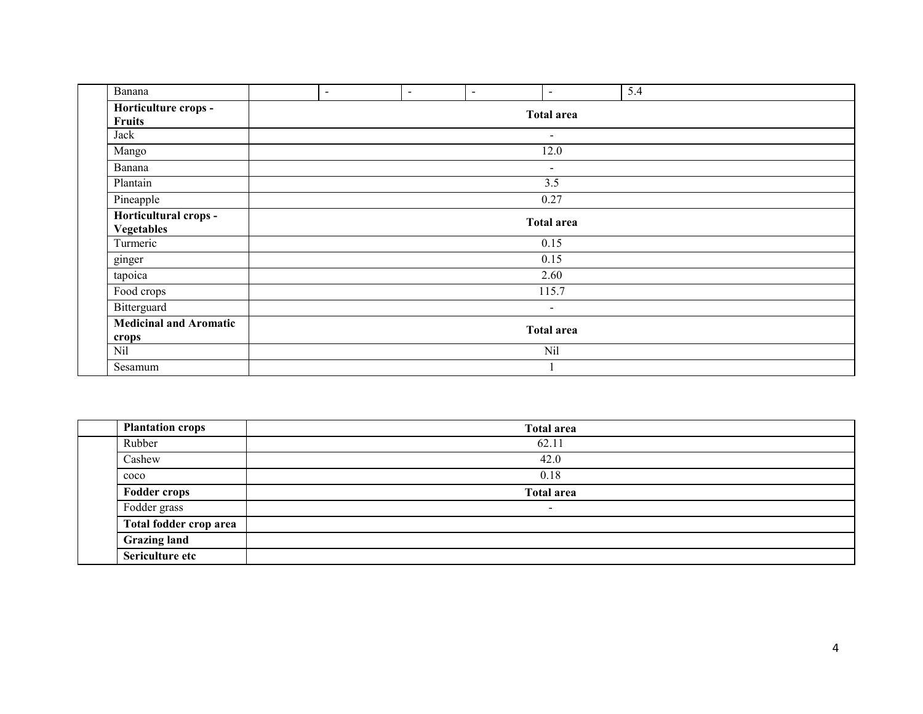| Banana                        | $\blacksquare$ | $\blacksquare$ | $\sim$ | $\blacksquare$           | 5.4 |  |  |
|-------------------------------|----------------|----------------|--------|--------------------------|-----|--|--|
| Horticulture crops -          |                |                |        | <b>Total area</b>        |     |  |  |
| <b>Fruits</b>                 |                |                |        |                          |     |  |  |
| Jack                          | $\sim$         |                |        |                          |     |  |  |
| Mango                         | 12.0           |                |        |                          |     |  |  |
| Banana                        |                |                |        | $\sim$                   |     |  |  |
| Plantain                      |                |                |        | 3.5                      |     |  |  |
| Pineapple                     | 0.27           |                |        |                          |     |  |  |
| Horticultural crops -         |                |                |        |                          |     |  |  |
| <b>Vegetables</b>             |                |                |        | <b>Total area</b>        |     |  |  |
| Turmeric                      |                |                |        | 0.15                     |     |  |  |
| ginger                        |                |                |        | 0.15                     |     |  |  |
| tapoica                       |                |                |        | 2.60                     |     |  |  |
| Food crops                    |                |                |        | 115.7                    |     |  |  |
| Bitterguard                   |                |                |        | $\overline{\phantom{a}}$ |     |  |  |
| <b>Medicinal and Aromatic</b> |                |                |        | <b>Total area</b>        |     |  |  |
| crops                         |                |                |        |                          |     |  |  |
| Nil                           |                |                |        | Nil                      |     |  |  |
| Sesamum                       |                |                |        |                          |     |  |  |

| <b>Plantation crops</b>       | <b>Total area</b>        |
|-------------------------------|--------------------------|
| Rubber                        | 62.11                    |
| Cashew                        | 42.0                     |
| c <sub>0</sub> c <sub>0</sub> | 0.18                     |
| <b>Fodder crops</b>           | <b>Total area</b>        |
| Fodder grass                  | $\overline{\phantom{0}}$ |
| Total fodder crop area        |                          |
| <b>Grazing land</b>           |                          |
| Sericulture etc               |                          |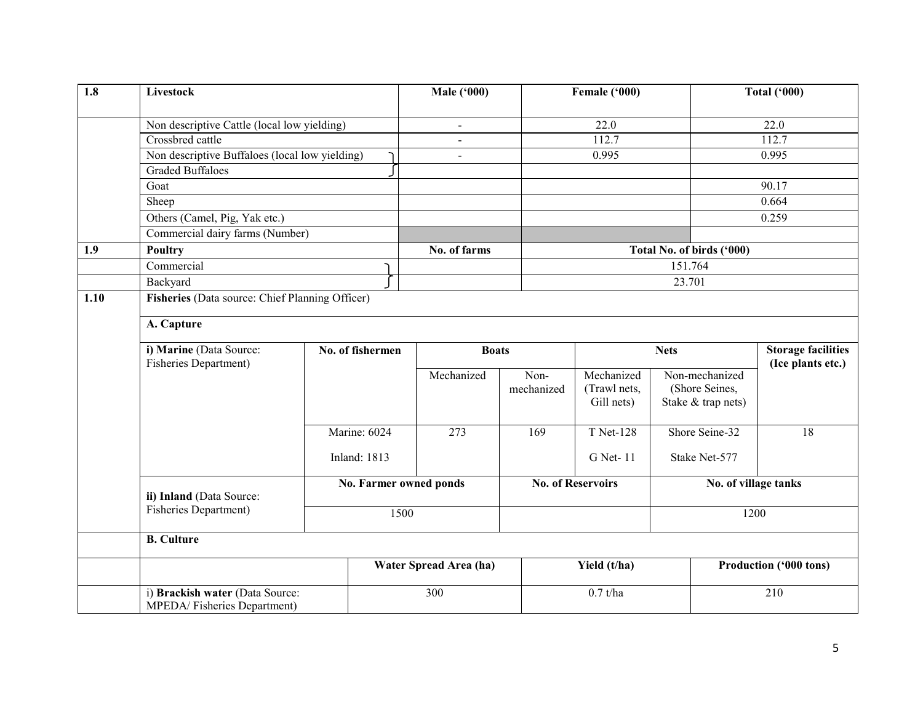| 1.8  | Livestock                                                      |                     |      | <b>Male ('000)</b>     |                    | Female ('000)                            |                                                        | <b>Total ('000)</b>                            |  |
|------|----------------------------------------------------------------|---------------------|------|------------------------|--------------------|------------------------------------------|--------------------------------------------------------|------------------------------------------------|--|
|      | Non descriptive Cattle (local low yielding)                    |                     |      | $\blacksquare$         |                    | 22.0                                     |                                                        | 22.0                                           |  |
|      | Crossbred cattle                                               |                     |      | $\overline{a}$         |                    | 112.7                                    |                                                        | 112.7                                          |  |
|      | Non descriptive Buffaloes (local low yielding)                 |                     |      | $\blacksquare$         |                    | 0.995                                    |                                                        | 0.995                                          |  |
|      | <b>Graded Buffaloes</b>                                        |                     |      |                        |                    |                                          |                                                        |                                                |  |
|      | Goat                                                           |                     |      |                        |                    |                                          |                                                        | 90.17                                          |  |
|      | Sheep                                                          |                     |      |                        |                    |                                          |                                                        | 0.664                                          |  |
|      | Others (Camel, Pig, Yak etc.)                                  |                     |      |                        |                    |                                          |                                                        | 0.259                                          |  |
|      | Commercial dairy farms (Number)                                |                     |      |                        |                    |                                          |                                                        |                                                |  |
| 1.9  | Poultry                                                        |                     |      | No. of farms           |                    |                                          | Total No. of birds ('000)                              |                                                |  |
|      | Commercial                                                     |                     |      |                        |                    |                                          | 151.764                                                |                                                |  |
|      | Backyard                                                       |                     |      |                        |                    |                                          | 23.701                                                 |                                                |  |
| 1.10 | Fisheries (Data source: Chief Planning Officer)                |                     |      |                        |                    |                                          |                                                        |                                                |  |
|      | A. Capture                                                     |                     |      |                        |                    |                                          |                                                        |                                                |  |
|      | i) Marine (Data Source:<br>Fisheries Department)               | No. of fishermen    |      | <b>Boats</b>           |                    |                                          | <b>Nets</b>                                            | <b>Storage facilities</b><br>(Ice plants etc.) |  |
|      |                                                                |                     |      | Mechanized             | Non-<br>mechanized | Mechanized<br>(Trawl nets,<br>Gill nets) | Non-mechanized<br>(Shore Seines,<br>Stake & trap nets) |                                                |  |
|      |                                                                | Marine: 6024        |      | $\overline{273}$       | 169                | <b>T</b> Net-128                         | Shore Seine-32                                         | $\overline{18}$                                |  |
|      |                                                                | <b>Inland: 1813</b> |      |                        |                    | G Net-11                                 | Stake Net-577                                          |                                                |  |
|      | ii) Inland (Data Source:                                       |                     |      | No. Farmer owned ponds |                    | <b>No. of Reservoirs</b>                 |                                                        | No. of village tanks                           |  |
|      | <b>Fisheries Department)</b>                                   |                     | 1500 |                        |                    |                                          |                                                        | 1200                                           |  |
|      | <b>B.</b> Culture                                              |                     |      |                        |                    |                                          |                                                        |                                                |  |
|      |                                                                |                     |      | Water Spread Area (ha) |                    | Yield (t/ha)                             |                                                        | Production ('000 tons)                         |  |
|      | i) Brackish water (Data Source:<br>MPEDA/Fisheries Department) |                     |      | 300                    |                    | $0.7$ t/ha                               |                                                        | 210                                            |  |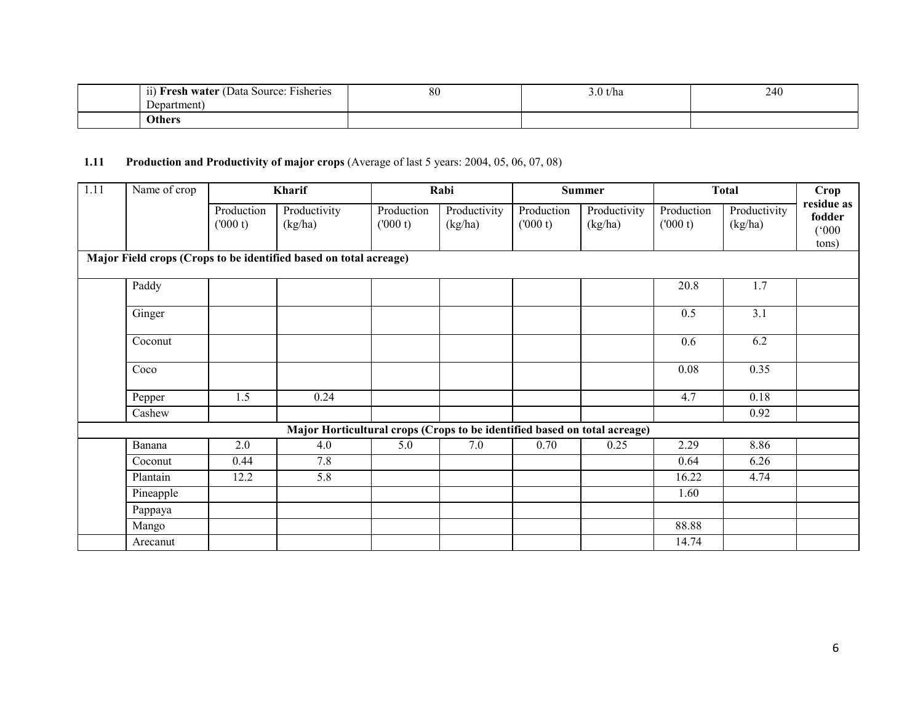| $\cdots$<br>$\sim$<br><b>Fresh water</b> (Data Source: Fisheries)<br>11) | 80 | 3.0 t/ha | 240 |
|--------------------------------------------------------------------------|----|----------|-----|
| Department                                                               |    |          |     |
| <b>Others</b>                                                            |    |          |     |

#### **1.11** Production and Productivity of major crops (Average of last 5 years: 2004, 05, 06, 07, 08)

| $\overline{1.11}$                                                 | Name of crop |                        | Kharif                                                                    |                       | Rabi                    |                       | <b>Summer</b>           | <b>Total</b>          |                         | Crop                                   |
|-------------------------------------------------------------------|--------------|------------------------|---------------------------------------------------------------------------|-----------------------|-------------------------|-----------------------|-------------------------|-----------------------|-------------------------|----------------------------------------|
|                                                                   |              | Production<br>(1000 t) | Productivity<br>(kg/ha)                                                   | Production<br>(000 t) | Productivity<br>(kg/ha) | Production<br>(000 t) | Productivity<br>(kg/ha) | Production<br>(000 t) | Productivity<br>(kg/ha) | residue as<br>fodder<br>(000)<br>tons) |
| Major Field crops (Crops to be identified based on total acreage) |              |                        |                                                                           |                       |                         |                       |                         |                       |                         |                                        |
|                                                                   | Paddy        |                        |                                                                           |                       |                         |                       |                         | 20.8                  | 1.7                     |                                        |
|                                                                   | Ginger       |                        |                                                                           |                       |                         |                       |                         | 0.5                   | 3.1                     |                                        |
|                                                                   | Coconut      |                        |                                                                           |                       |                         |                       |                         | 0.6                   | 6.2                     |                                        |
|                                                                   | Coco         |                        |                                                                           |                       |                         |                       |                         | 0.08                  | 0.35                    |                                        |
|                                                                   | Pepper       | 1.5                    | 0.24                                                                      |                       |                         |                       |                         | 4.7                   | 0.18                    |                                        |
|                                                                   | Cashew       |                        |                                                                           |                       |                         |                       |                         |                       | 0.92                    |                                        |
|                                                                   |              |                        | Major Horticultural crops (Crops to be identified based on total acreage) |                       |                         |                       |                         |                       |                         |                                        |
|                                                                   | Banana       | 2.0                    | 4.0                                                                       | 5.0                   | 7.0                     | 0.70                  | 0.25                    | 2.29                  | 8.86                    |                                        |
|                                                                   | Coconut      | 0.44                   | 7.8                                                                       |                       |                         |                       |                         | 0.64                  | 6.26                    |                                        |
|                                                                   | Plantain     | 12.2                   | 5.8                                                                       |                       |                         |                       |                         | 16.22                 | 4.74                    |                                        |
|                                                                   | Pineapple    |                        |                                                                           |                       |                         |                       |                         | 1.60                  |                         |                                        |
|                                                                   | Pappaya      |                        |                                                                           |                       |                         |                       |                         |                       |                         |                                        |
|                                                                   | Mango        |                        |                                                                           |                       |                         |                       |                         | 88.88                 |                         |                                        |
|                                                                   | Arecanut     |                        |                                                                           |                       |                         |                       |                         | 14.74                 |                         |                                        |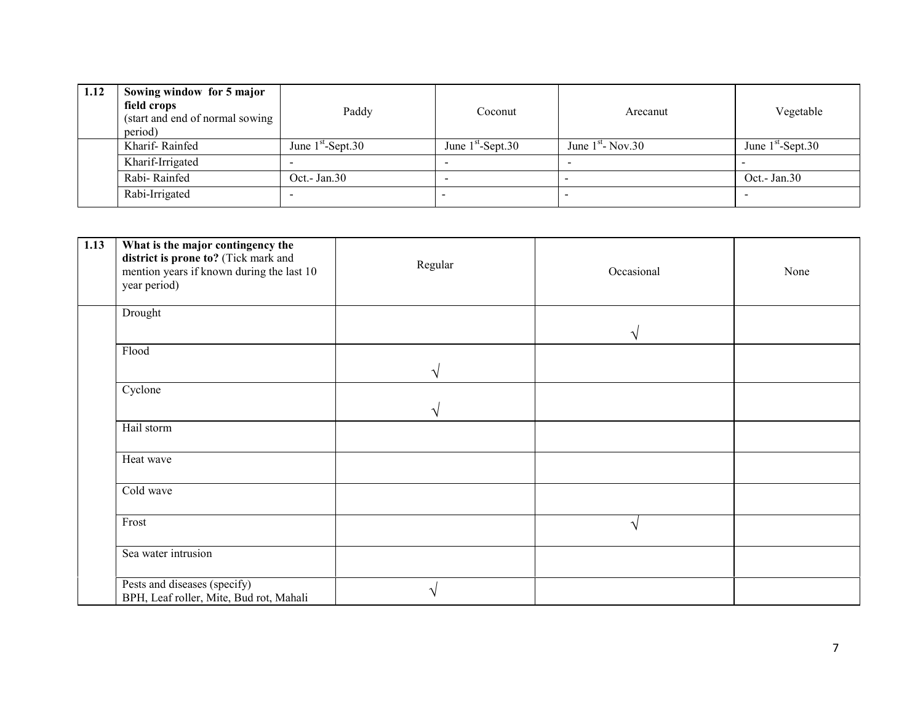| 1.12 | Sowing window for 5 major<br>field crops<br>(start and end of normal sowing<br>period) | Paddy                    | Coconut                  | Arecanut            | Vegetable           |
|------|----------------------------------------------------------------------------------------|--------------------------|--------------------------|---------------------|---------------------|
|      | Kharif-Rainfed                                                                         | June $1st$ -Sept.30      | June $1st$ -Sept.30      | June $1st$ - Nov.30 | June $1st$ -Sept.30 |
|      | Kharif-Irrigated                                                                       | $\overline{\phantom{0}}$ | $\overline{\phantom{0}}$ |                     |                     |
|      | Rabi-Rainfed                                                                           | Oct.- Jan.30             |                          |                     | Oct. - Jan. $30$    |
|      | Rabi-Irrigated                                                                         |                          |                          |                     |                     |

| 1.13 | What is the major contingency the<br>district is prone to? (Tick mark and<br>mention years if known during the last 10<br>year period) | Regular | Occasional | None |
|------|----------------------------------------------------------------------------------------------------------------------------------------|---------|------------|------|
|      | Drought                                                                                                                                |         |            |      |
|      | Flood                                                                                                                                  |         |            |      |
|      | Cyclone                                                                                                                                |         |            |      |
|      | Hail storm                                                                                                                             |         |            |      |
|      | Heat wave                                                                                                                              |         |            |      |
|      | Cold wave                                                                                                                              |         |            |      |
|      | Frost                                                                                                                                  |         |            |      |
|      | Sea water intrusion                                                                                                                    |         |            |      |
|      | Pests and diseases (specify)<br>BPH, Leaf roller, Mite, Bud rot, Mahali                                                                |         |            |      |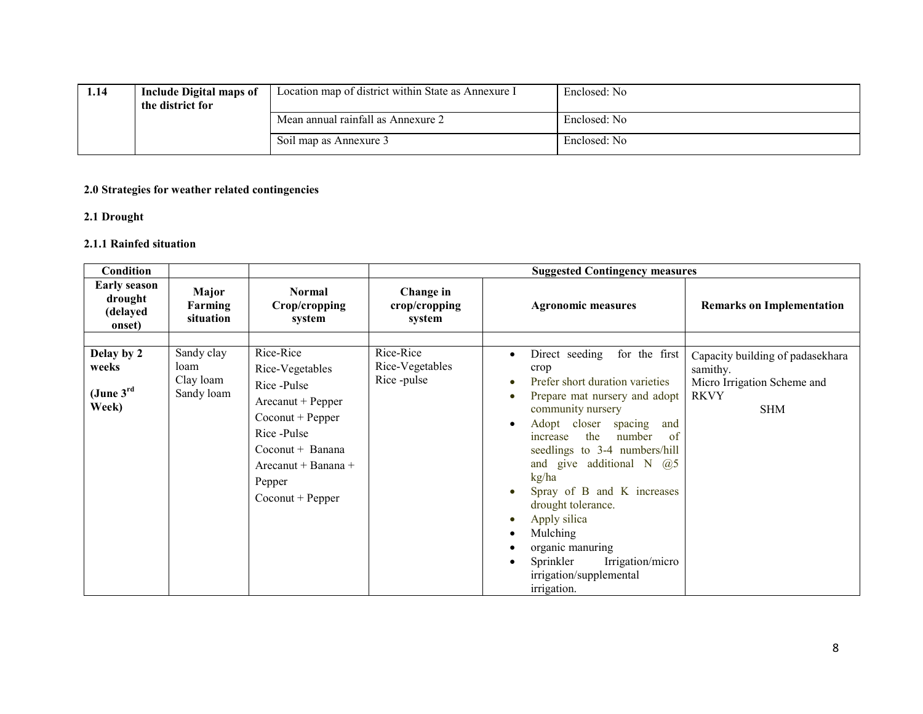| 1.14 | Include Digital maps of<br>the district for | Location map of district within State as Annexure I | Enclosed: No |
|------|---------------------------------------------|-----------------------------------------------------|--------------|
|      |                                             | Mean annual rainfall as Annexure 2                  | Enclosed: No |
|      |                                             | Soil map as Annexure 3                              | Enclosed: No |

#### 2.0 Strategies for weather related contingencies

#### 2.1 Drought

#### 2.1.1 Rainfed situation

| <b>Condition</b>                                      |                                               |                                                                                                                                                                                                 |                                            | <b>Suggested Contingency measures</b>                                                                                                                                                                                                                                                                                                                                                                                                                                                                                     |                                                                                                          |
|-------------------------------------------------------|-----------------------------------------------|-------------------------------------------------------------------------------------------------------------------------------------------------------------------------------------------------|--------------------------------------------|---------------------------------------------------------------------------------------------------------------------------------------------------------------------------------------------------------------------------------------------------------------------------------------------------------------------------------------------------------------------------------------------------------------------------------------------------------------------------------------------------------------------------|----------------------------------------------------------------------------------------------------------|
| <b>Early season</b><br>drought<br>(delayed<br>onset)  | Major<br>Farming<br>situation                 | <b>Normal</b><br>Crop/cropping<br>system                                                                                                                                                        | Change in<br>crop/cropping<br>system       | <b>Agronomic measures</b>                                                                                                                                                                                                                                                                                                                                                                                                                                                                                                 | <b>Remarks on Implementation</b>                                                                         |
| Delay by 2<br>weeks<br>(June $3^{\text{rd}}$<br>Week) | Sandy clay<br>loam<br>Clay loam<br>Sandy loam | Rice-Rice<br>Rice-Vegetables<br>Rice-Pulse<br>$Areanut + Pepper$<br>$Co\text{count} + Pepper$<br>Rice-Pulse<br>$Coconut + Banana$<br>Arecanut + Banana +<br>Pepper<br>$Co\text{count} + Pepper$ | Rice-Rice<br>Rice-Vegetables<br>Rice-pulse | Direct seeding<br>for the first<br>$\bullet$<br>crop<br>Prefer short duration varieties<br>Prepare mat nursery and adopt<br>$\bullet$<br>community nursery<br>Adopt closer<br>spacing<br>and<br>$\bullet$<br>the<br>number<br>increase<br>-of<br>seedlings to 3-4 numbers/hill<br>and give additional N $(a)$ 5<br>kg/ha<br>Spray of B and K increases<br>drought tolerance.<br>Apply silica<br>$\bullet$<br>Mulching<br>organic manuring<br>٠<br>Sprinkler<br>Irrigation/micro<br>irrigation/supplemental<br>irrigation. | Capacity building of padasekhara<br>samithy.<br>Micro Irrigation Scheme and<br><b>RKVY</b><br><b>SHM</b> |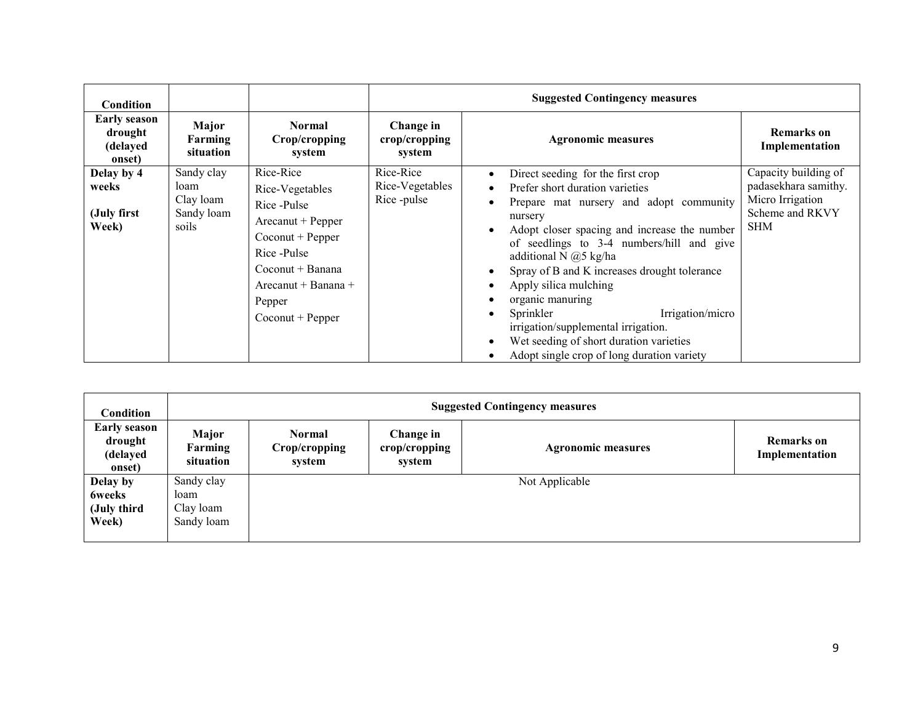| <b>Condition</b>                                     |                                                        |                                                                                                                                                                                               |                                            | <b>Suggested Contingency measures</b>                                                                                                                                                                                                                                                                                                                                                                                                                                                                                                                        |                                                                                                   |
|------------------------------------------------------|--------------------------------------------------------|-----------------------------------------------------------------------------------------------------------------------------------------------------------------------------------------------|--------------------------------------------|--------------------------------------------------------------------------------------------------------------------------------------------------------------------------------------------------------------------------------------------------------------------------------------------------------------------------------------------------------------------------------------------------------------------------------------------------------------------------------------------------------------------------------------------------------------|---------------------------------------------------------------------------------------------------|
| <b>Early season</b><br>drought<br>(delayed<br>onset) | Major<br>Farming<br>situation                          | <b>Normal</b><br>Crop/cropping<br>system                                                                                                                                                      | Change in<br>crop/cropping<br>system       | <b>Agronomic measures</b>                                                                                                                                                                                                                                                                                                                                                                                                                                                                                                                                    | <b>Remarks</b> on<br>Implementation                                                               |
| Delay by 4<br>weeks<br>(July first<br>Week)          | Sandy clay<br>loam<br>Clay loam<br>Sandy loam<br>soils | Rice-Rice<br>Rice-Vegetables<br>Rice-Pulse<br>Arecanut + Pepper<br>$Co\text{count} + Pepper$<br>Rice -Pulse<br>Coconut + Banana<br>Arecanut + Banana +<br>Pepper<br>$Co\text{count} + Pepper$ | Rice-Rice<br>Rice-Vegetables<br>Rice-pulse | Direct seeding for the first crop<br>$\bullet$<br>Prefer short duration varieties<br>$\bullet$<br>Prepare mat nursery and adopt community<br>nursery<br>Adopt closer spacing and increase the number<br>of seedlings to 3-4 numbers/hill and give<br>additional N $@5$ kg/ha<br>Spray of B and K increases drought tolerance<br>٠<br>Apply silica mulching<br>organic manuring<br>Irrigation/micro<br>Sprinkler<br>$\bullet$<br>irrigation/supplemental irrigation.<br>Wet seeding of short duration varieties<br>Adopt single crop of long duration variety | Capacity building of<br>padasekhara samithy.<br>Micro Irrigation<br>Scheme and RKVY<br><b>SHM</b> |

| <b>Condition</b>                                     | <b>Suggested Contingency measures</b>         |                                   |                                      |                           |                                     |  |  |
|------------------------------------------------------|-----------------------------------------------|-----------------------------------|--------------------------------------|---------------------------|-------------------------------------|--|--|
| <b>Early season</b><br>drought<br>(delayed<br>onset) | Major<br>Farming<br>situation                 | Normal<br>Crop/cropping<br>system | Change in<br>crop/cropping<br>system | <b>Agronomic measures</b> | <b>Remarks</b> on<br>Implementation |  |  |
| Delay by<br><b>6weeks</b><br>(July third<br>Week)    | Sandy clay<br>loam<br>Clay loam<br>Sandy loam |                                   |                                      | Not Applicable            |                                     |  |  |
|                                                      |                                               |                                   |                                      |                           |                                     |  |  |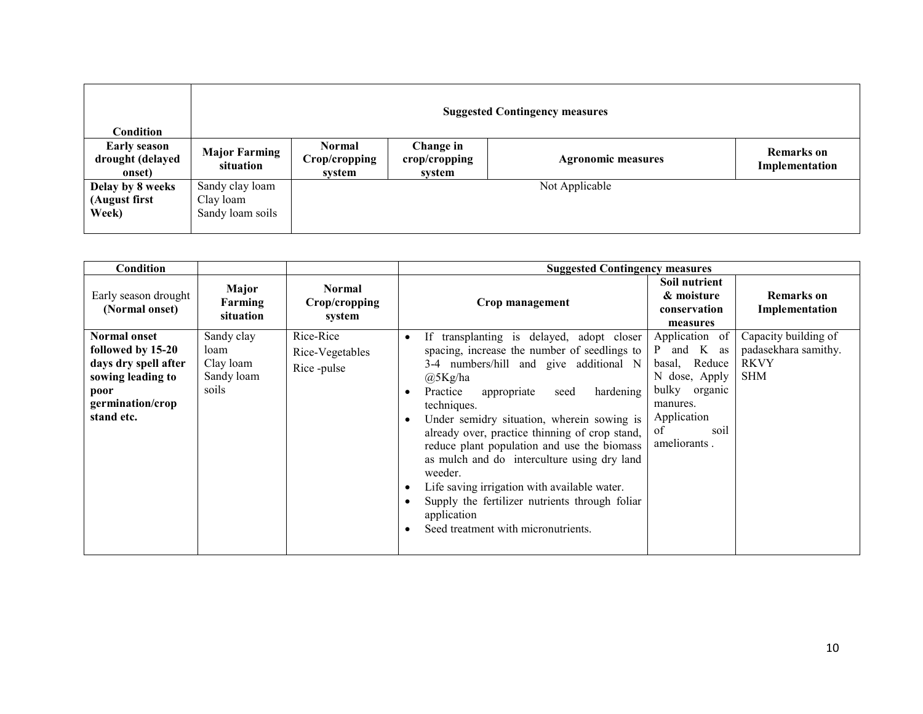| <b>Condition</b>                                  | <b>Suggested Contingency measures</b>            |                                          |                                      |                           |                                     |  |
|---------------------------------------------------|--------------------------------------------------|------------------------------------------|--------------------------------------|---------------------------|-------------------------------------|--|
| <b>Early season</b><br>drought (delayed<br>onset) | <b>Major Farming</b><br>situation                | <b>Normal</b><br>Crop/cropping<br>system | Change in<br>crop/cropping<br>system | <b>Agronomic measures</b> | <b>Remarks</b> on<br>Implementation |  |
| Delay by 8 weeks<br>(August first<br>Week)        | Sandy clay loam<br>Clay loam<br>Sandy loam soils |                                          |                                      | Not Applicable            |                                     |  |

| Condition                                                                                                                       |                                                        |                                            | <b>Suggested Contingency measures</b>                                                                                                                                                                                                                                                                                                                                                                                                                                                                                                                                          |                                                                                                                                          |                                                                           |
|---------------------------------------------------------------------------------------------------------------------------------|--------------------------------------------------------|--------------------------------------------|--------------------------------------------------------------------------------------------------------------------------------------------------------------------------------------------------------------------------------------------------------------------------------------------------------------------------------------------------------------------------------------------------------------------------------------------------------------------------------------------------------------------------------------------------------------------------------|------------------------------------------------------------------------------------------------------------------------------------------|---------------------------------------------------------------------------|
| Early season drought<br>(Normal onset)                                                                                          | Major<br>Farming<br>situation                          | <b>Normal</b><br>Crop/cropping<br>system   | Crop management                                                                                                                                                                                                                                                                                                                                                                                                                                                                                                                                                                | Soil nutrient<br>& moisture<br>conservation<br>measures                                                                                  | <b>Remarks</b> on<br>Implementation                                       |
| <b>Normal onset</b><br>followed by 15-20<br>days dry spell after<br>sowing leading to<br>poor<br>germination/crop<br>stand etc. | Sandy clay<br>loam<br>Clay loam<br>Sandy loam<br>soils | Rice-Rice<br>Rice-Vegetables<br>Rice-pulse | If transplanting is delayed, adopt closer<br>spacing, increase the number of seedlings to<br>3-4 numbers/hill and give additional N<br>@5Kg/ha<br>Practice<br>appropriate<br>hardening<br>seed<br>techniques.<br>Under semidry situation, wherein sowing is<br>already over, practice thinning of crop stand,<br>reduce plant population and use the biomass<br>as mulch and do interculture using dry land<br>weeder.<br>Life saving irrigation with available water.<br>Supply the fertilizer nutrients through foliar<br>application<br>Seed treatment with micronutrients. | Application of<br>P and K as<br>basal, Reduce<br>N dose, Apply<br>bulky organic<br>manures.<br>Application<br>soil<br>0f<br>ameliorants. | Capacity building of<br>padasekhara samithy.<br><b>RKVY</b><br><b>SHM</b> |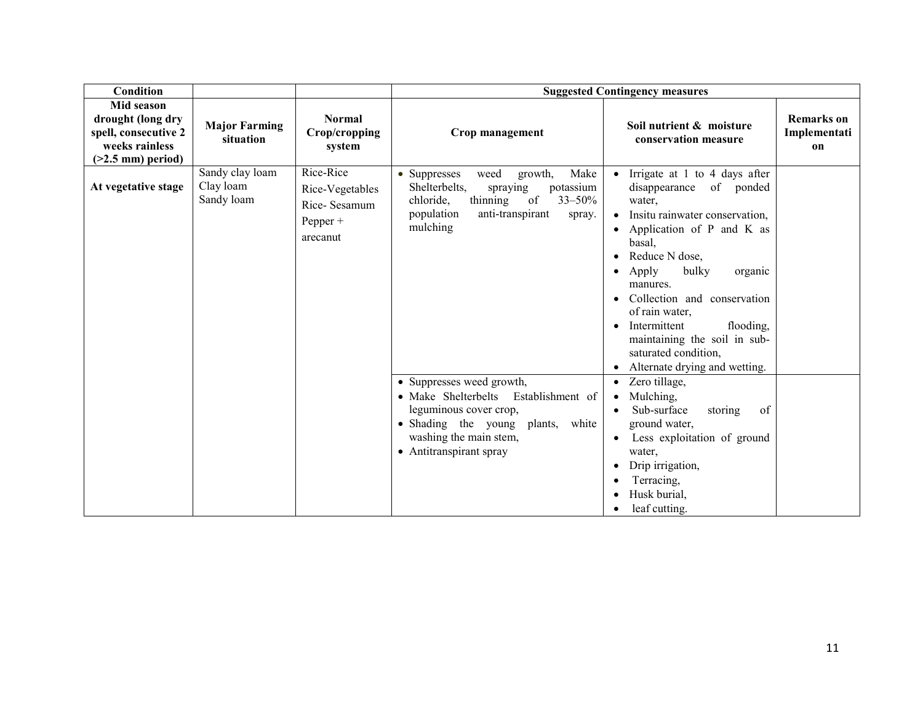| Condition                                                                                                |                                            |                                                                        | <b>Suggested Contingency measures</b>                                                                                                                                                          |                                                                                                                                                                                                                                                                                                                                                                                                                 |                                         |  |
|----------------------------------------------------------------------------------------------------------|--------------------------------------------|------------------------------------------------------------------------|------------------------------------------------------------------------------------------------------------------------------------------------------------------------------------------------|-----------------------------------------------------------------------------------------------------------------------------------------------------------------------------------------------------------------------------------------------------------------------------------------------------------------------------------------------------------------------------------------------------------------|-----------------------------------------|--|
| <b>Mid season</b><br>drought (long dry<br>spell, consecutive 2<br>weeks rainless<br>$($ >2.5 mm) period) | <b>Major Farming</b><br>situation          | <b>Normal</b><br>Crop/cropping<br>system                               | Crop management                                                                                                                                                                                | Soil nutrient & moisture<br>conservation measure                                                                                                                                                                                                                                                                                                                                                                | <b>Remarks</b> on<br>Implementati<br>on |  |
| At vegetative stage                                                                                      | Sandy clay loam<br>Clay loam<br>Sandy loam | Rice-Rice<br>Rice-Vegetables<br>Rice-Sesamum<br>Pepper $+$<br>arecanut | Make<br>weed<br>• Suppresses<br>growth,<br>Shelterbelts,<br>potassium<br>spraying<br>thinning<br>of<br>$33 - 50\%$<br>chloride,<br>population<br>anti-transpirant<br>spray.<br>mulching        | Irrigate at 1 to 4 days after<br>$\bullet$<br>disappearance<br>of ponded<br>water.<br>Insitu rainwater conservation,<br>Application of P and K as<br>$\bullet$<br>basal,<br>Reduce N dose,<br>bulky<br>Apply<br>organic<br>٠<br>manures.<br>Collection and conservation<br>of rain water,<br>Intermittent<br>flooding,<br>maintaining the soil in sub-<br>saturated condition,<br>Alternate drying and wetting. |                                         |  |
|                                                                                                          |                                            |                                                                        | • Suppresses weed growth,<br>• Make Shelterbelts<br>Establishment of<br>leguminous cover crop,<br>• Shading the young<br>plants,<br>white<br>washing the main stem,<br>• Antitranspirant spray | Zero tillage,<br>$\bullet$<br>Mulching,<br>$\bullet$<br>Sub-surface<br>storing<br>of<br>ground water,<br>Less exploitation of ground<br>water,<br>Drip irrigation,<br>Terracing,<br>Husk burial,<br>leaf cutting.                                                                                                                                                                                               |                                         |  |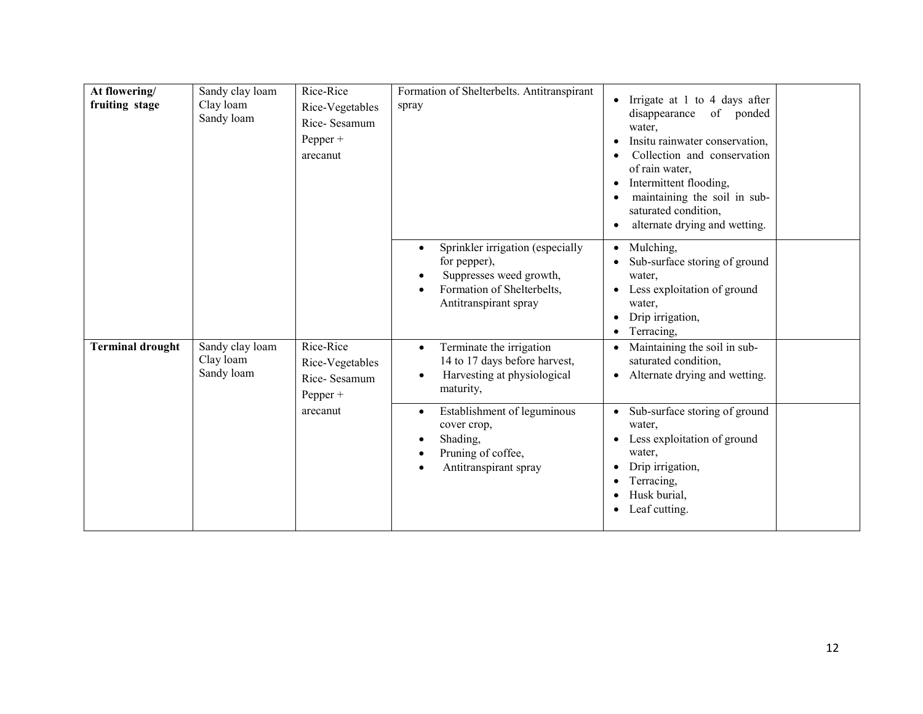| At flowering/<br>fruiting stage | Sandy clay loam<br>Clay loam<br>Sandy loam | Rice-Rice<br>Rice-Vegetables<br>Rice-Sesamum<br>$Pepper +$<br>arecanut | Formation of Shelterbelts. Antitranspirant<br>spray                                                                                                          | Irrigate at 1 to 4 days after<br>disappearance<br>of ponded<br>water.<br>Insitu rainwater conservation,<br>Collection and conservation<br>of rain water,<br>Intermittent flooding,<br>٠<br>maintaining the soil in sub-<br>saturated condition,<br>alternate drying and wetting. |
|---------------------------------|--------------------------------------------|------------------------------------------------------------------------|--------------------------------------------------------------------------------------------------------------------------------------------------------------|----------------------------------------------------------------------------------------------------------------------------------------------------------------------------------------------------------------------------------------------------------------------------------|
|                                 |                                            |                                                                        | Sprinkler irrigation (especially<br>$\bullet$<br>for pepper),<br>Suppresses weed growth,<br>Formation of Shelterbelts,<br>$\bullet$<br>Antitranspirant spray | Mulching,<br>$\bullet$<br>Sub-surface storing of ground<br>water,<br>Less exploitation of ground<br>water,<br>Drip irrigation,<br>Terracing,<br>٠                                                                                                                                |
| <b>Terminal drought</b>         | Sandy clay loam<br>Clay loam<br>Sandy loam | Rice-Rice<br>Rice-Vegetables<br>Rice-Sesamum<br>Pepper $+$             | Terminate the irrigation<br>$\bullet$<br>14 to 17 days before harvest,<br>Harvesting at physiological<br>$\bullet$<br>maturity,                              | Maintaining the soil in sub-<br>saturated condition,<br>Alternate drying and wetting.<br>$\bullet$                                                                                                                                                                               |
|                                 |                                            | arecanut                                                               | Establishment of leguminous<br>$\bullet$<br>cover crop,<br>Shading,<br>Pruning of coffee,<br>$\bullet$<br>Antitranspirant spray<br>$\bullet$                 | Sub-surface storing of ground<br>$\bullet$<br>water,<br>Less exploitation of ground<br>water,<br>Drip irrigation,<br>Terracing,<br>Husk burial,<br>Leaf cutting.<br>$\bullet$                                                                                                    |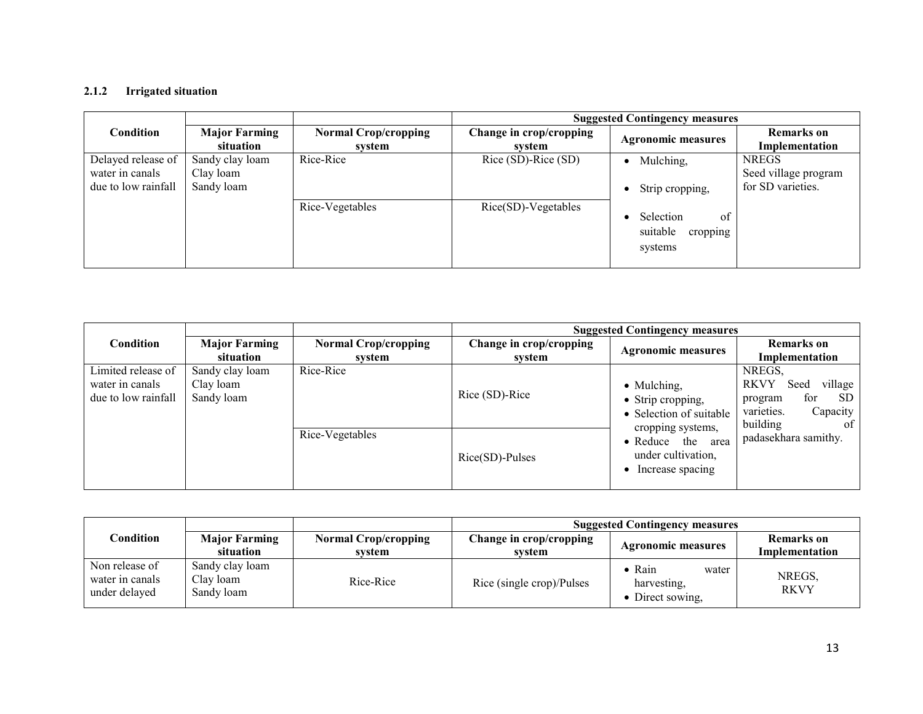#### 2.1.2 Irrigated situation

|                                                              |                                            |                                       |                                   | <b>Suggested Contingency measures</b>              |                                                           |
|--------------------------------------------------------------|--------------------------------------------|---------------------------------------|-----------------------------------|----------------------------------------------------|-----------------------------------------------------------|
| Condition                                                    | <b>Major Farming</b><br>situation          | <b>Normal Crop/cropping</b><br>system | Change in crop/cropping<br>svstem | <b>Agronomic measures</b>                          | Remarks on<br>Implementation                              |
| Delayed release of<br>water in canals<br>due to low rainfall | Sandy clay loam<br>Clay loam<br>Sandy loam | Rice-Rice                             | Rice (SD)-Rice (SD)               | Mulching,<br>Strip cropping,                       | <b>NREGS</b><br>Seed village program<br>for SD varieties. |
|                                                              |                                            | Rice-Vegetables                       | $Rice(SD)-Vegetables$             | of<br>Selection<br>suitable<br>cropping<br>systems |                                                           |

|                                                              |                                            |                                       | <b>Suggested Contingency measures</b> |                                                                                  |                                                                                                               |  |
|--------------------------------------------------------------|--------------------------------------------|---------------------------------------|---------------------------------------|----------------------------------------------------------------------------------|---------------------------------------------------------------------------------------------------------------|--|
| <b>Condition</b>                                             | <b>Major Farming</b><br>situation          | <b>Normal Crop/cropping</b><br>system | Change in crop/cropping<br>svstem     | <b>Agronomic measures</b>                                                        | Remarks on<br>Implementation                                                                                  |  |
| Limited release of<br>water in canals<br>due to low rainfall | Sandy clay loam<br>Clay loam<br>Sandy loam | Rice-Rice                             | Rice (SD)-Rice                        | • Mulching,<br>• Strip cropping,<br>• Selection of suitable                      | NREGS.<br><b>RKVY</b><br>village<br>Seed<br>for<br>SD.<br>program<br>varieties.<br>Capacity<br>building<br>of |  |
|                                                              |                                            | Rice-Vegetables                       | $Rice(SD)$ -Pulses                    | cropping systems,<br>• Reduce the area<br>under cultivation,<br>Increase spacing | padasekhara samithy.                                                                                          |  |

|                                                    |                                            |                                       | <b>Suggested Contingency measures</b> |                                                  |                              |  |
|----------------------------------------------------|--------------------------------------------|---------------------------------------|---------------------------------------|--------------------------------------------------|------------------------------|--|
| Condition                                          | <b>Major Farming</b><br>situation          | <b>Normal Crop/cropping</b><br>svstem | Change in crop/cropping<br>svstem     | <b>Agronomic measures</b>                        | Remarks on<br>Implementation |  |
| Non release of<br>water in canals<br>under delayed | Sandy clay loam<br>Clay loam<br>Sandy loam | Rice-Rice                             | Rice (single crop)/Pulses             | Rain<br>water<br>harvesting,<br>• Direct sowing, | NREGS,<br><b>RKVY</b>        |  |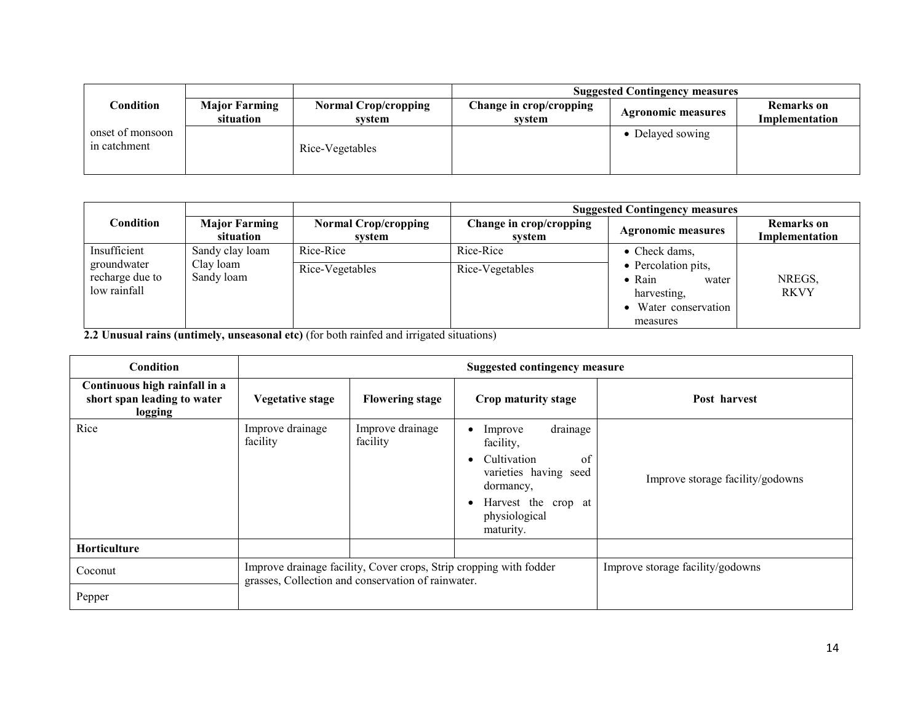|                      |                             | <b>Suggested Contingency measures</b> |                  |                           |  |
|----------------------|-----------------------------|---------------------------------------|------------------|---------------------------|--|
| <b>Major Farming</b> | <b>Normal Crop/cropping</b> | Change in crop/cropping               |                  | <b>Remarks</b> on         |  |
|                      |                             |                                       |                  | Implementation            |  |
|                      | Rice-Vegetables             |                                       | • Delayed sowing |                           |  |
|                      | situation                   | system                                | system           | <b>Agronomic measures</b> |  |

|                                                |                                   |                                       | <b>Suggested Contingency measures</b> |                                                                                                   |                                     |  |
|------------------------------------------------|-----------------------------------|---------------------------------------|---------------------------------------|---------------------------------------------------------------------------------------------------|-------------------------------------|--|
| Condition                                      | <b>Major Farming</b><br>situation | <b>Normal Crop/cropping</b><br>system | Change in crop/cropping<br>system     | <b>Agronomic measures</b>                                                                         | <b>Remarks</b> on<br>Implementation |  |
| Insufficient                                   | Sandy clay loam                   | Rice-Rice                             | Rice-Rice                             | $\bullet$ Check dams,                                                                             |                                     |  |
| groundwater<br>recharge due to<br>low rainfall | Clay loam<br>Sandy loam           | Rice-Vegetables                       | Rice-Vegetables                       | • Percolation pits,<br>$\bullet$ Rain<br>water<br>harvesting,<br>• Water conservation<br>measures | NREGS,<br><b>RKVY</b>               |  |

2.2 Unusual rains (untimely, unseasonal etc) (for both rainfed and irrigated situations)

| <b>Condition</b>                                                        | <b>Suggested contingency measure</b>                                                                                     |                              |                                                                                                                                                                            |                                  |  |
|-------------------------------------------------------------------------|--------------------------------------------------------------------------------------------------------------------------|------------------------------|----------------------------------------------------------------------------------------------------------------------------------------------------------------------------|----------------------------------|--|
| Continuous high rainfall in a<br>short span leading to water<br>logging | <b>Vegetative stage</b>                                                                                                  | <b>Flowering stage</b>       | Crop maturity stage                                                                                                                                                        | Post harvest                     |  |
| Rice                                                                    | Improve drainage<br>facility                                                                                             | Improve drainage<br>facility | drainage<br>Improve<br>$\bullet$<br>facility,<br>Cultivation<br>of<br>varieties having seed<br>dormancy,<br>Harvest the crop at<br>$\bullet$<br>physiological<br>maturity. | Improve storage facility/godowns |  |
| <b>Horticulture</b>                                                     |                                                                                                                          |                              |                                                                                                                                                                            |                                  |  |
| Coconut                                                                 | Improve drainage facility, Cover crops, Strip cropping with fodder<br>grasses, Collection and conservation of rainwater. |                              |                                                                                                                                                                            | Improve storage facility/godowns |  |
| Pepper                                                                  |                                                                                                                          |                              |                                                                                                                                                                            |                                  |  |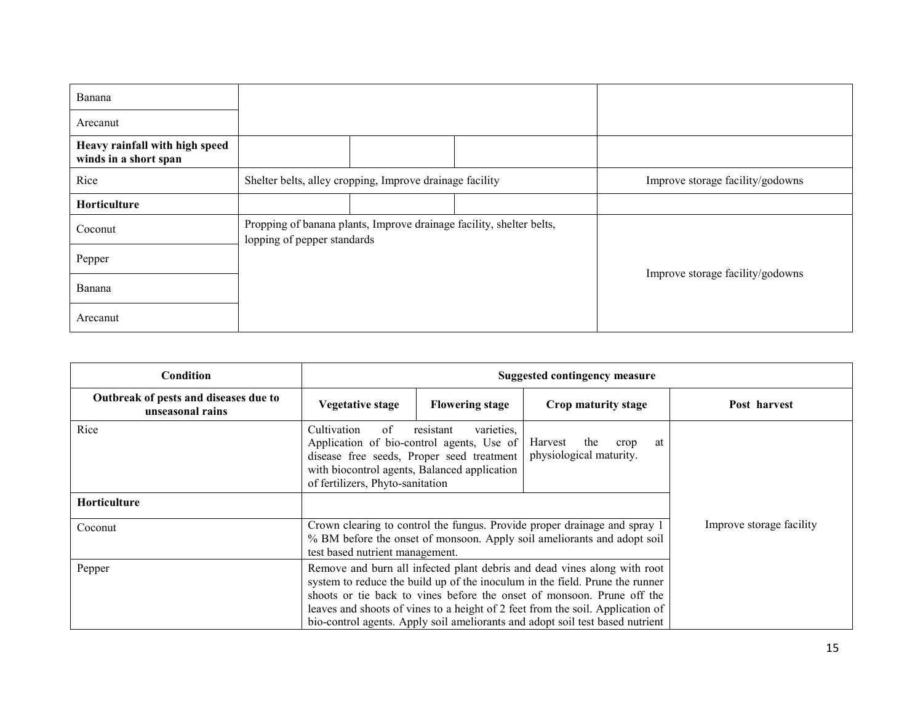| Banana                                                  |                                                          |                                                                      |                                  |
|---------------------------------------------------------|----------------------------------------------------------|----------------------------------------------------------------------|----------------------------------|
| Arecanut                                                |                                                          |                                                                      |                                  |
| Heavy rainfall with high speed<br>winds in a short span |                                                          |                                                                      |                                  |
| Rice                                                    | Shelter belts, alley cropping, Improve drainage facility |                                                                      | Improve storage facility/godowns |
| Horticulture                                            |                                                          |                                                                      |                                  |
| Coconut                                                 | lopping of pepper standards                              | Propping of banana plants, Improve drainage facility, shelter belts, |                                  |
| Pepper                                                  |                                                          |                                                                      | Improve storage facility/godowns |
| Banana                                                  |                                                          |                                                                      |                                  |
| Arecanut                                                |                                                          |                                                                      |                                  |

| Condition                                                 |                                                                                                    | <b>Suggested contingency measure</b>                                                                                                                 |                                                                                                                                                                                                                                                                                                                                                                                                       |              |  |  |
|-----------------------------------------------------------|----------------------------------------------------------------------------------------------------|------------------------------------------------------------------------------------------------------------------------------------------------------|-------------------------------------------------------------------------------------------------------------------------------------------------------------------------------------------------------------------------------------------------------------------------------------------------------------------------------------------------------------------------------------------------------|--------------|--|--|
| Outbreak of pests and diseases due to<br>unseasonal rains | Vegetative stage                                                                                   | <b>Flowering stage</b>                                                                                                                               | Crop maturity stage                                                                                                                                                                                                                                                                                                                                                                                   | Post harvest |  |  |
| Rice                                                      | Cultivation<br>of<br>disease free seeds, Proper seed treatment<br>of fertilizers, Phyto-sanitation | varieties,<br>resistant<br>Application of bio-control agents, Use of<br>with biocontrol agents, Balanced application                                 | the<br>Harvest<br>crop<br>at<br>physiological maturity.                                                                                                                                                                                                                                                                                                                                               |              |  |  |
| Horticulture                                              |                                                                                                    |                                                                                                                                                      |                                                                                                                                                                                                                                                                                                                                                                                                       |              |  |  |
| Coconut                                                   | test based nutrient management.                                                                    | Crown clearing to control the fungus. Provide proper drainage and spray 1<br>% BM before the onset of monsoon. Apply soil ameliorants and adopt soil | Improve storage facility                                                                                                                                                                                                                                                                                                                                                                              |              |  |  |
| Pepper                                                    |                                                                                                    |                                                                                                                                                      | Remove and burn all infected plant debris and dead vines along with root<br>system to reduce the build up of the inoculum in the field. Prune the runner<br>shoots or tie back to vines before the onset of monsoon. Prune off the<br>leaves and shoots of vines to a height of 2 feet from the soil. Application of<br>bio-control agents. Apply soil ameliorants and adopt soil test based nutrient |              |  |  |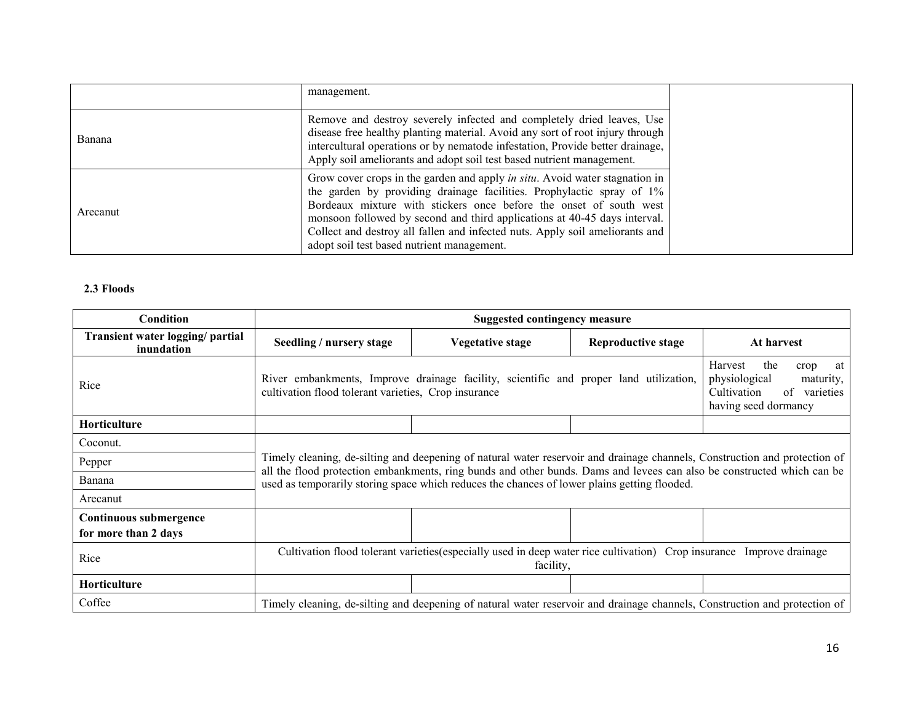|          | management.                                                                                                                                                                                                                                                                                                                                                                                                                                   |
|----------|-----------------------------------------------------------------------------------------------------------------------------------------------------------------------------------------------------------------------------------------------------------------------------------------------------------------------------------------------------------------------------------------------------------------------------------------------|
| Banana   | Remove and destroy severely infected and completely dried leaves, Use<br>disease free healthy planting material. Avoid any sort of root injury through<br>intercultural operations or by nematode infestation, Provide better drainage,<br>Apply soil ameliorants and adopt soil test based nutrient management.                                                                                                                              |
| Arecanut | Grow cover crops in the garden and apply <i>in situ</i> . Avoid water stagnation in<br>the garden by providing drainage facilities. Prophylactic spray of 1%<br>Bordeaux mixture with stickers once before the onset of south west<br>monsoon followed by second and third applications at 40-45 days interval.<br>Collect and destroy all fallen and infected nuts. Apply soil ameliorants and<br>adopt soil test based nutrient management. |

#### 2.3 Floods

| Condition                                      |                                                                                                                                    | <b>Suggested contingency measure</b>                                                                                                                                                                                                    |                    |            |  |  |  |
|------------------------------------------------|------------------------------------------------------------------------------------------------------------------------------------|-----------------------------------------------------------------------------------------------------------------------------------------------------------------------------------------------------------------------------------------|--------------------|------------|--|--|--|
| Transient water logging/ partial<br>inundation | Seedling / nursery stage                                                                                                           | Vegetative stage                                                                                                                                                                                                                        | Reproductive stage | At harvest |  |  |  |
| Rice                                           |                                                                                                                                    | Harvest<br>the<br>River embankments, Improve drainage facility, scientific and proper land utilization,<br>physiological<br>cultivation flood tolerant varieties, Crop insurance<br>Cultivation<br>of varieties<br>having seed dormancy |                    |            |  |  |  |
| Horticulture                                   |                                                                                                                                    |                                                                                                                                                                                                                                         |                    |            |  |  |  |
| Coconut.                                       |                                                                                                                                    |                                                                                                                                                                                                                                         |                    |            |  |  |  |
| Pepper                                         |                                                                                                                                    | Timely cleaning, de-silting and deepening of natural water reservoir and drainage channels, Construction and protection of                                                                                                              |                    |            |  |  |  |
| Banana                                         |                                                                                                                                    | all the flood protection embankments, ring bunds and other bunds. Dams and levees can also be constructed which can be<br>used as temporarily storing space which reduces the chances of lower plains getting flooded.                  |                    |            |  |  |  |
| Arecanut                                       |                                                                                                                                    |                                                                                                                                                                                                                                         |                    |            |  |  |  |
| Continuous submergence<br>for more than 2 days |                                                                                                                                    |                                                                                                                                                                                                                                         |                    |            |  |  |  |
| Rice                                           | Cultivation flood tolerant varieties (especially used in deep water rice cultivation) Crop insurance Improve drainage<br>facility, |                                                                                                                                                                                                                                         |                    |            |  |  |  |
| Horticulture                                   |                                                                                                                                    |                                                                                                                                                                                                                                         |                    |            |  |  |  |
| Coffee                                         |                                                                                                                                    | Timely cleaning, de-silting and deepening of natural water reservoir and drainage channels, Construction and protection of                                                                                                              |                    |            |  |  |  |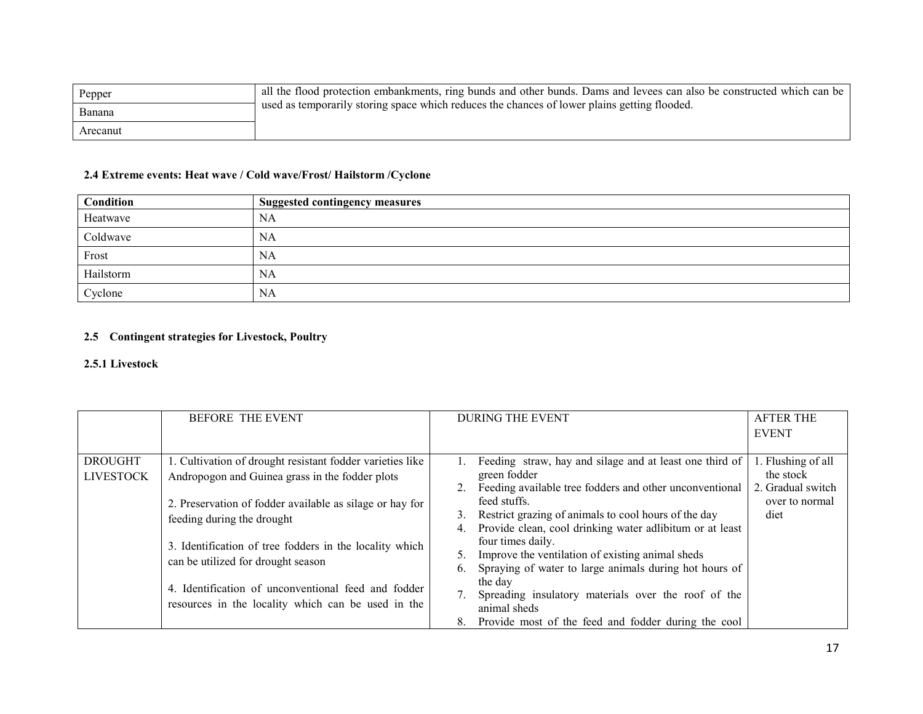| Pepper   | all the flood protection embankments, ring bunds and other bunds. Dams and levees can also be constructed which can be |
|----------|------------------------------------------------------------------------------------------------------------------------|
| Banana   | used as temporarily storing space which reduces the chances of lower plains getting flooded.                           |
| Arecanut |                                                                                                                        |

#### 2.4 Extreme events: Heat wave / Cold wave/Frost/ Hailstorm /Cyclone

| <b>Condition</b> | <b>Suggested contingency measures</b> |
|------------------|---------------------------------------|
| Heatwave         | NA                                    |
| Coldwave         | NA                                    |
| Frost            | <b>NA</b>                             |
| Hailstorm        | NA                                    |
| Cyclone          | NA                                    |

## 2.5 Contingent strategies for Livestock, Poultry

#### 2.5.1 Livestock

|                                    | <b>BEFORE THE EVENT</b>                                                                                                                                                                                                                                                                                                                                                                                              | <b>DURING THE EVENT</b>                                                                                                                                                                                                                                                                                                                                                                                                                                                                                                                                                          | <b>AFTER THE</b><br><b>EVENT</b>                                               |
|------------------------------------|----------------------------------------------------------------------------------------------------------------------------------------------------------------------------------------------------------------------------------------------------------------------------------------------------------------------------------------------------------------------------------------------------------------------|----------------------------------------------------------------------------------------------------------------------------------------------------------------------------------------------------------------------------------------------------------------------------------------------------------------------------------------------------------------------------------------------------------------------------------------------------------------------------------------------------------------------------------------------------------------------------------|--------------------------------------------------------------------------------|
| <b>DROUGHT</b><br><b>LIVESTOCK</b> | 1. Cultivation of drought resistant fodder varieties like<br>Andropogon and Guinea grass in the fodder plots<br>2. Preservation of fodder available as silage or hay for<br>feeding during the drought<br>3. Identification of tree fodders in the locality which<br>can be utilized for drought season<br>4. Identification of unconventional feed and fodder<br>resources in the locality which can be used in the | Feeding straw, hay and silage and at least one third of<br>green fodder<br>Feeding available tree fodders and other unconventional<br>2.<br>feed stuffs.<br>Restrict grazing of animals to cool hours of the day<br>3.<br>Provide clean, cool drinking water adlibitum or at least<br>4.<br>four times daily.<br>Improve the ventilation of existing animal sheds<br>Spraying of water to large animals during hot hours of<br>6.<br>the day<br>Spreading insulatory materials over the roof of the<br>animal sheds<br>Provide most of the feed and fodder during the cool<br>8. | 1. Flushing of all<br>the stock<br>2. Gradual switch<br>over to normal<br>diet |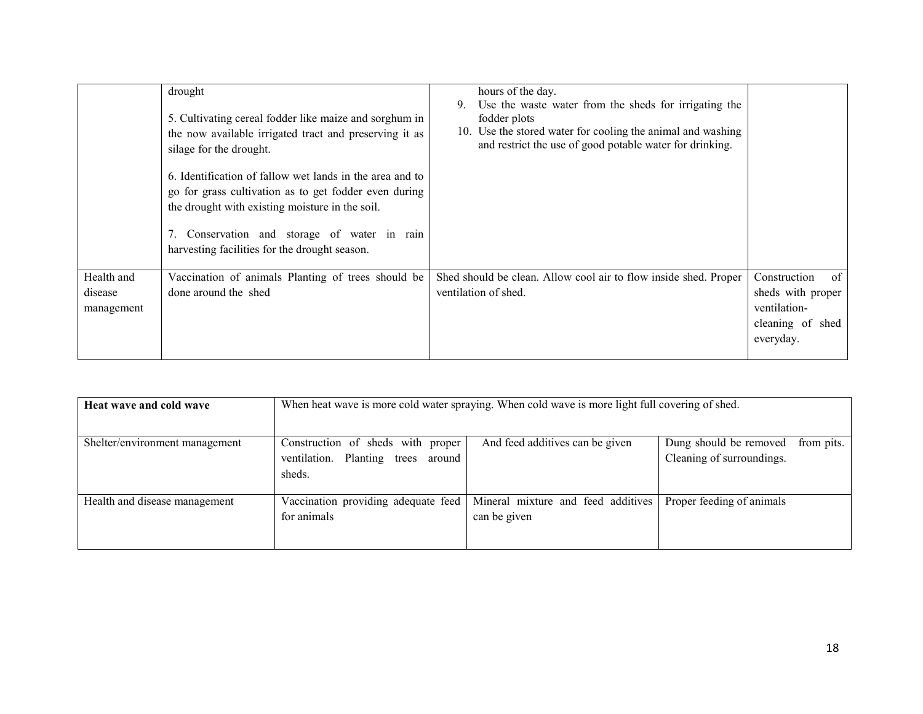|                                     | drought<br>5. Cultivating cereal fodder like maize and sorghum in<br>the now available irrigated tract and preserving it as<br>silage for the drought.<br>6. Identification of fallow wet lands in the area and to<br>go for grass cultivation as to get fodder even during<br>the drought with existing moisture in the soil.<br>Conservation and storage of water in rain<br>harvesting facilities for the drought season. | hours of the day.<br>Use the waste water from the sheds for irrigating the<br>9.<br>fodder plots<br>10. Use the stored water for cooling the animal and washing<br>and restrict the use of good potable water for drinking. |                                                                                                  |
|-------------------------------------|------------------------------------------------------------------------------------------------------------------------------------------------------------------------------------------------------------------------------------------------------------------------------------------------------------------------------------------------------------------------------------------------------------------------------|-----------------------------------------------------------------------------------------------------------------------------------------------------------------------------------------------------------------------------|--------------------------------------------------------------------------------------------------|
| Health and<br>disease<br>management | Vaccination of animals Planting of trees should be<br>done around the shed                                                                                                                                                                                                                                                                                                                                                   | Shed should be clean. Allow cool air to flow inside shed. Proper<br>ventilation of shed.                                                                                                                                    | $\sigma$ f<br>Construction<br>sheds with proper<br>ventilation-<br>cleaning of shed<br>everyday. |

| Heat wave and cold wave        | When heat wave is more cold water spraying. When cold wave is more light full covering of shed. |                                                    |                                                     |            |  |
|--------------------------------|-------------------------------------------------------------------------------------------------|----------------------------------------------------|-----------------------------------------------------|------------|--|
| Shelter/environment management | Construction of sheds with proper<br>ventilation. Planting trees around<br>sheds.               | And feed additives can be given                    | Dung should be removed<br>Cleaning of surroundings. | from pits. |  |
| Health and disease management  | Vaccination providing adequate feed<br>for animals                                              | Mineral mixture and feed additives<br>can be given | Proper feeding of animals                           |            |  |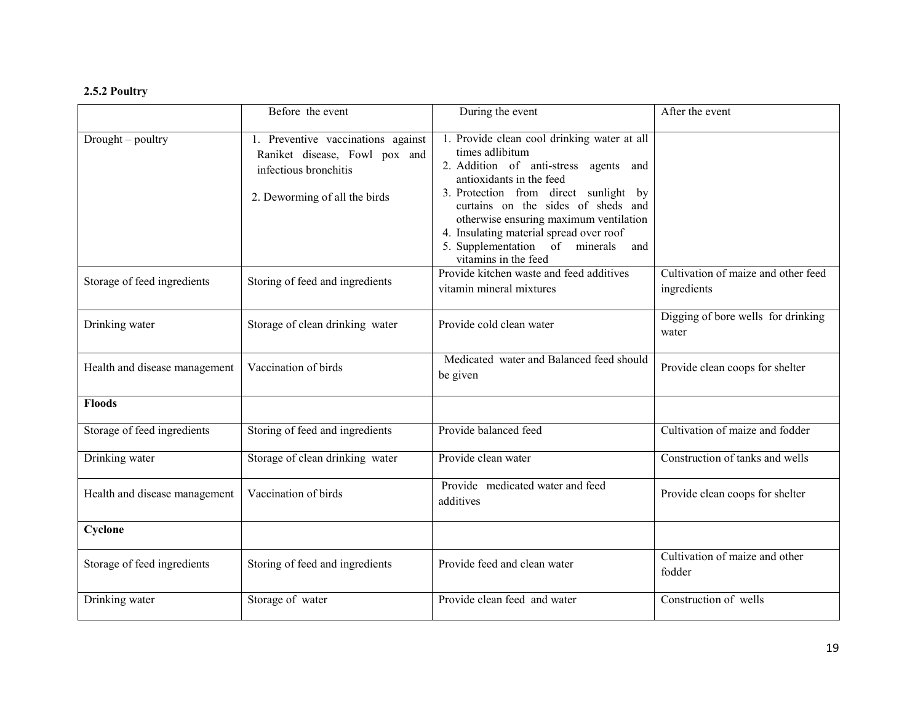### 2.5.2 Poultry

|                               | Before the event                                                                                                              | During the event                                                                                                                                                                                                                                                                                                                                                         | After the event                                    |
|-------------------------------|-------------------------------------------------------------------------------------------------------------------------------|--------------------------------------------------------------------------------------------------------------------------------------------------------------------------------------------------------------------------------------------------------------------------------------------------------------------------------------------------------------------------|----------------------------------------------------|
| Drought – poultry             | 1. Preventive vaccinations against<br>Raniket disease, Fowl pox and<br>infectious bronchitis<br>2. Deworming of all the birds | 1. Provide clean cool drinking water at all<br>times adlibitum<br>2. Addition of anti-stress agents and<br>antioxidants in the feed<br>3. Protection from direct sunlight by<br>curtains on the sides of sheds and<br>otherwise ensuring maximum ventilation<br>4. Insulating material spread over roof<br>5. Supplementation of minerals<br>and<br>vitamins in the feed |                                                    |
| Storage of feed ingredients   | Storing of feed and ingredients                                                                                               | Provide kitchen waste and feed additives<br>vitamin mineral mixtures                                                                                                                                                                                                                                                                                                     | Cultivation of maize and other feed<br>ingredients |
| Drinking water                | Storage of clean drinking water                                                                                               | Provide cold clean water                                                                                                                                                                                                                                                                                                                                                 | Digging of bore wells for drinking<br>water        |
| Health and disease management | Vaccination of birds                                                                                                          | Medicated water and Balanced feed should<br>be given                                                                                                                                                                                                                                                                                                                     | Provide clean coops for shelter                    |
| <b>Floods</b>                 |                                                                                                                               |                                                                                                                                                                                                                                                                                                                                                                          |                                                    |
| Storage of feed ingredients   | Storing of feed and ingredients                                                                                               | Provide balanced feed                                                                                                                                                                                                                                                                                                                                                    | Cultivation of maize and fodder                    |
| Drinking water                | Storage of clean drinking water                                                                                               | Provide clean water                                                                                                                                                                                                                                                                                                                                                      | Construction of tanks and wells                    |
| Health and disease management | Vaccination of birds                                                                                                          | Provide medicated water and feed<br>additives                                                                                                                                                                                                                                                                                                                            | Provide clean coops for shelter                    |
| Cyclone                       |                                                                                                                               |                                                                                                                                                                                                                                                                                                                                                                          |                                                    |
| Storage of feed ingredients   | Storing of feed and ingredients                                                                                               | Provide feed and clean water                                                                                                                                                                                                                                                                                                                                             | Cultivation of maize and other<br>fodder           |
| Drinking water                | Storage of water                                                                                                              | Provide clean feed and water                                                                                                                                                                                                                                                                                                                                             | Construction of wells                              |